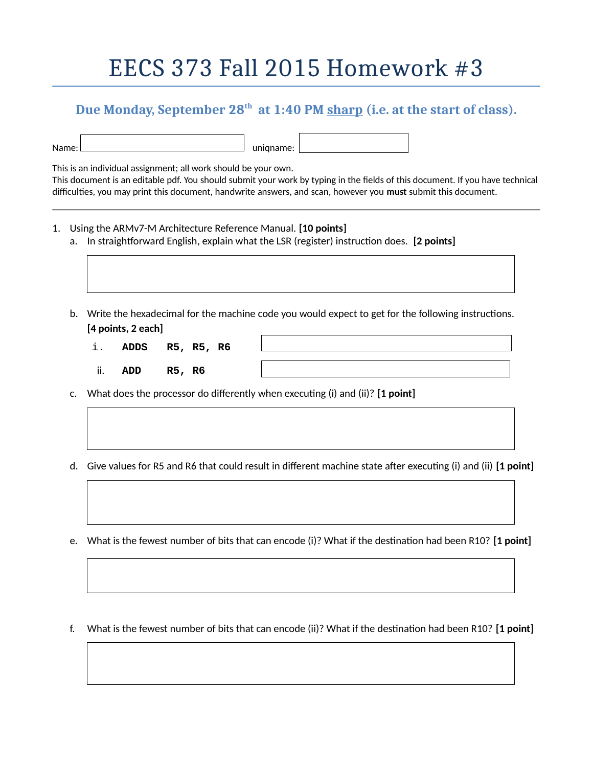## EECS 373 Fall 2015 Homework #3

## **Due Monday, September 28th at 1:40 PM sharp (i.e. at the start of class).**

| Name: |  |
|-------|--|

uniqname:

This is an individual assignment; all work should be your own. This document is an editable pdf. You should submit your work by typing in the fields of this document. If you have technical difficulties, you may print this document, handwrite answers, and scan, however you **must** submit this document.

- 1. Using the ARMv7-M Architecture Reference Manual. **[10 points]**
	- a. In straightforward English, explain what the LSR (register) instruction does. **[2 points]**
	- b. Write the hexadecimal for the machine code you would expect to get for the following instructions. **[4 points, 2 each]**
		- i. **ADDS R5, R5, R6**
		- ii. **ADD R5, R6**
	- c. What does the processor do differently when executing (i) and (ii)? **[1 point]**
	- d. Give values for R5 and R6 that could result in different machine state after executing (i) and (ii) **[1 point]**
	- e. What is the fewest number of bits that can encode (i)? What if the destination had been R10? **[1 point]**
	- f. What is the fewest number of bits that can encode (ii)? What if the destination had been R10? **[1 point]**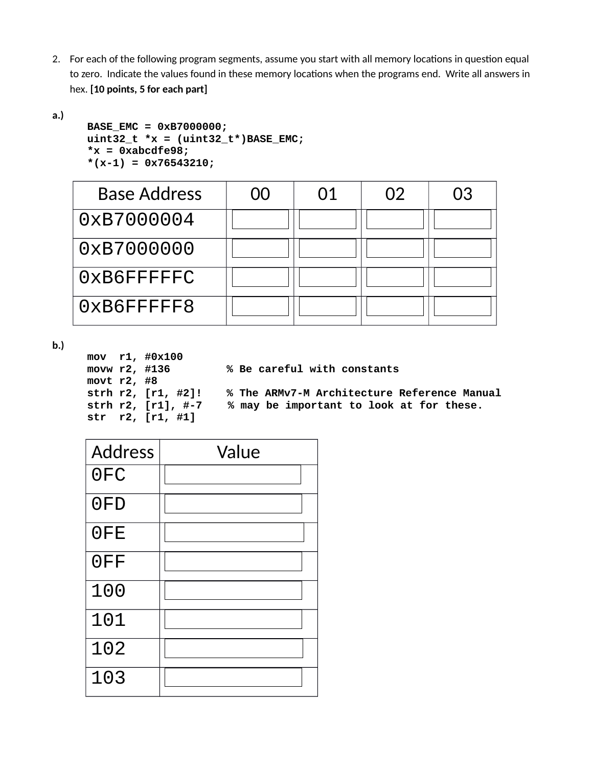- 2. For each of the following program segments, assume you start with all memory locations in question equal to zero. Indicate the values found in these memory locations when the programs end. Write all answers in hex. **[10 points, 5 for each part]**
- **a.)**

```
BASE_EMC = 0xB7000000;
uint32_t *x = (uint32_t*)BASE_EMC;
*x = 0xabcdfe98;
*(x-1) = 0x76543210;
```

| <b>Base Address</b> | 00 | 01 | 02 | 03 |
|---------------------|----|----|----|----|
| 0xB7000004          |    |    |    |    |
| 0xB7000000          |    |    |    |    |
| 0xB6FFFFFC          |    |    |    |    |
| 0xB6FFFFF8          |    |    |    |    |

**b.)**

```
mov r1, #0x100<br>movw r2, #136
                         % Be careful with constants
movt r2, #8<br>strh r2, [r1, #2]!
strh r2, [r1, #2]! % The ARMv7-M Architecture Reference Manual
                         % may be important to look at for these.
str r2, [r1, #1]
```

| <b>Address</b> | Value |
|----------------|-------|
| 0FC            |       |
| 0FD            |       |
| 0FE            |       |
| 0FF            |       |
| 100            |       |
| 101            |       |
| 102            |       |
| 103            |       |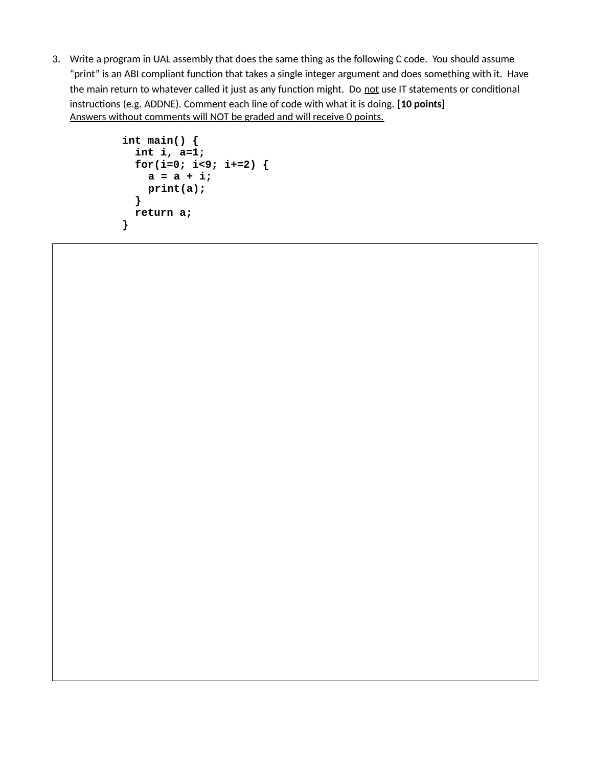3. Write a program in UAL assembly that does the same thing as the following C code. You should assume "print" is an ABI compliant function that takes a single integer argument and does something with it. Have the main return to whatever called it just as any function might. Do not use IT statements or conditional instructions (e.g. ADDNE). Comment each line of code with what it is doing. **[10 points]** Answers without comments will NOT be graded and will receive 0 points.

```
int main() {
   int i, a=1;
   for(i=0; i<9; i+=2) {
    a = a + i; print(a);
   }
   return a;
}
```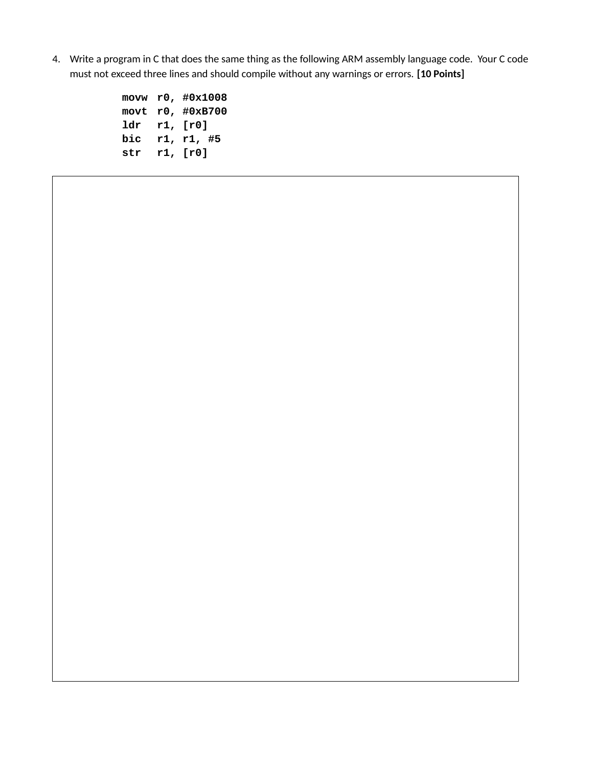4. Write a program in C that does the same thing as the following ARM assembly language code. Your C code must not exceed three lines and should compile without any warnings or errors. **[10 Points]**

|      |     | movw r0, #0x1008 |
|------|-----|------------------|
| movt |     | r0, #0xB700      |
| ldr  |     | r1, [r0]         |
| bic  | r1, | r1, #5           |
| str  |     | r1, [r0]         |